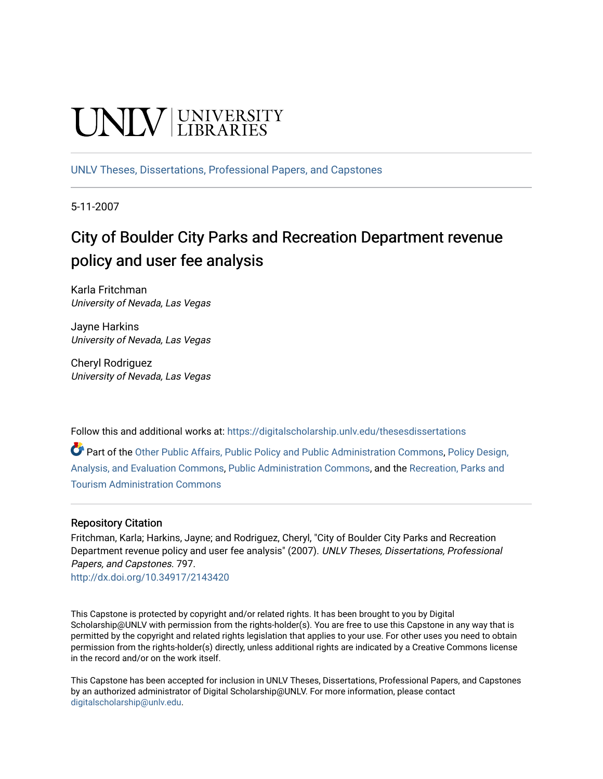# UNIV UNIVERSITY

[UNLV Theses, Dissertations, Professional Papers, and Capstones](https://digitalscholarship.unlv.edu/thesesdissertations)

5-11-2007

# City of Boulder City Parks and Recreation Department revenue policy and user fee analysis

Karla Fritchman University of Nevada, Las Vegas

Jayne Harkins University of Nevada, Las Vegas

Cheryl Rodriguez University of Nevada, Las Vegas

Follow this and additional works at: [https://digitalscholarship.unlv.edu/thesesdissertations](https://digitalscholarship.unlv.edu/thesesdissertations?utm_source=digitalscholarship.unlv.edu%2Fthesesdissertations%2F797&utm_medium=PDF&utm_campaign=PDFCoverPages)

Part of the [Other Public Affairs, Public Policy and Public Administration Commons,](http://network.bepress.com/hgg/discipline/403?utm_source=digitalscholarship.unlv.edu%2Fthesesdissertations%2F797&utm_medium=PDF&utm_campaign=PDFCoverPages) [Policy Design,](http://network.bepress.com/hgg/discipline/1032?utm_source=digitalscholarship.unlv.edu%2Fthesesdissertations%2F797&utm_medium=PDF&utm_campaign=PDFCoverPages)  [Analysis, and Evaluation Commons,](http://network.bepress.com/hgg/discipline/1032?utm_source=digitalscholarship.unlv.edu%2Fthesesdissertations%2F797&utm_medium=PDF&utm_campaign=PDFCoverPages) [Public Administration Commons,](http://network.bepress.com/hgg/discipline/398?utm_source=digitalscholarship.unlv.edu%2Fthesesdissertations%2F797&utm_medium=PDF&utm_campaign=PDFCoverPages) and the [Recreation, Parks and](http://network.bepress.com/hgg/discipline/1067?utm_source=digitalscholarship.unlv.edu%2Fthesesdissertations%2F797&utm_medium=PDF&utm_campaign=PDFCoverPages) [Tourism Administration Commons](http://network.bepress.com/hgg/discipline/1067?utm_source=digitalscholarship.unlv.edu%2Fthesesdissertations%2F797&utm_medium=PDF&utm_campaign=PDFCoverPages) 

#### Repository Citation

Fritchman, Karla; Harkins, Jayne; and Rodriguez, Cheryl, "City of Boulder City Parks and Recreation Department revenue policy and user fee analysis" (2007). UNLV Theses, Dissertations, Professional Papers, and Capstones. 797.

<http://dx.doi.org/10.34917/2143420>

This Capstone is protected by copyright and/or related rights. It has been brought to you by Digital Scholarship@UNLV with permission from the rights-holder(s). You are free to use this Capstone in any way that is permitted by the copyright and related rights legislation that applies to your use. For other uses you need to obtain permission from the rights-holder(s) directly, unless additional rights are indicated by a Creative Commons license in the record and/or on the work itself.

This Capstone has been accepted for inclusion in UNLV Theses, Dissertations, Professional Papers, and Capstones by an authorized administrator of Digital Scholarship@UNLV. For more information, please contact [digitalscholarship@unlv.edu](mailto:digitalscholarship@unlv.edu).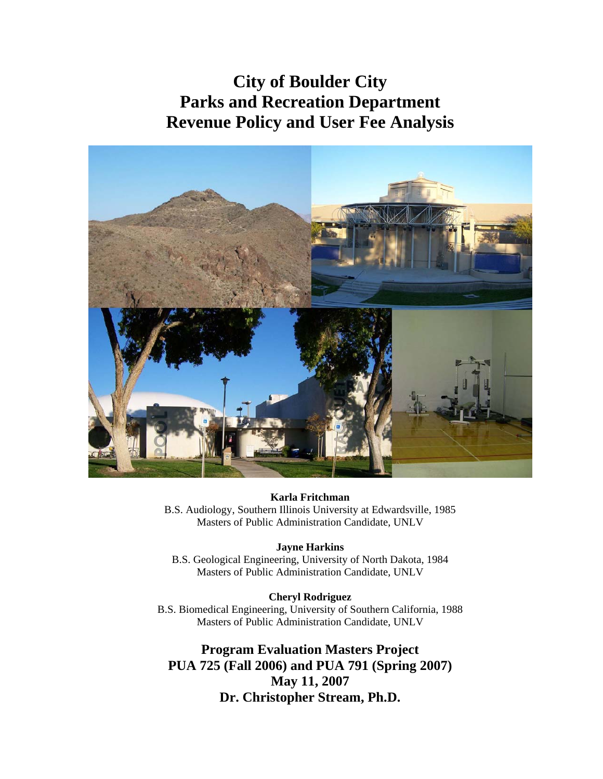### **City of Boulder City Parks and Recreation Department Revenue Policy and User Fee Analysis**



**Karla Fritchman**  B.S. Audiology, Southern Illinois University at Edwardsville, 1985 Masters of Public Administration Candidate, UNLV

**Jayne Harkins** 

B.S. Geological Engineering, University of North Dakota, 1984 Masters of Public Administration Candidate, UNLV

**Cheryl Rodriguez** 

B.S. Biomedical Engineering, University of Southern California, 1988 Masters of Public Administration Candidate, UNLV

**Program Evaluation Masters Project PUA 725 (Fall 2006) and PUA 791 (Spring 2007) May 11, 2007 Dr. Christopher Stream, Ph.D.**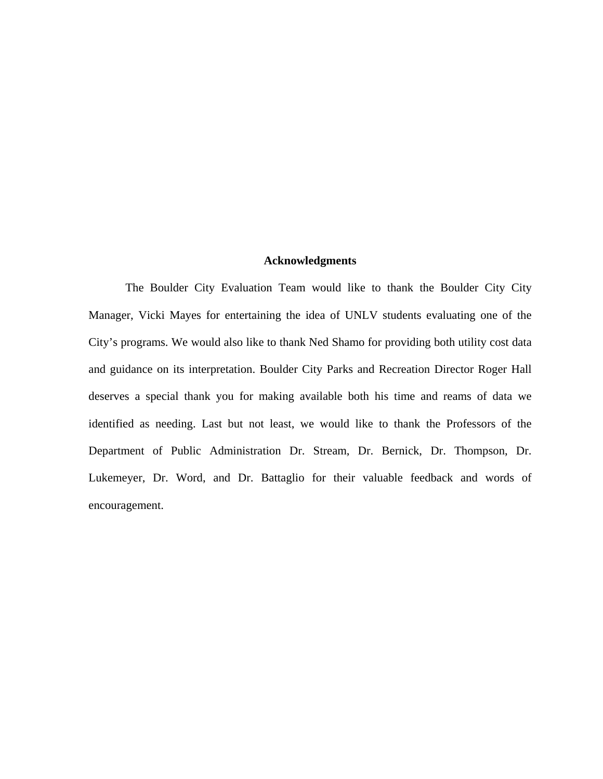#### **Acknowledgments**

The Boulder City Evaluation Team would like to thank the Boulder City City Manager, Vicki Mayes for entertaining the idea of UNLV students evaluating one of the City's programs. We would also like to thank Ned Shamo for providing both utility cost data and guidance on its interpretation. Boulder City Parks and Recreation Director Roger Hall deserves a special thank you for making available both his time and reams of data we identified as needing. Last but not least, we would like to thank the Professors of the Department of Public Administration Dr. Stream, Dr. Bernick, Dr. Thompson, Dr. Lukemeyer, Dr. Word, and Dr. Battaglio for their valuable feedback and words of encouragement.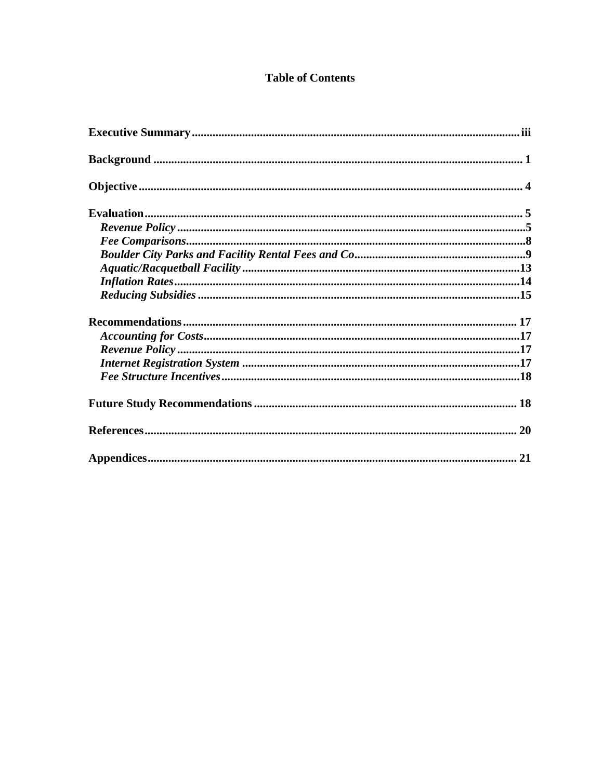#### **Table of Contents**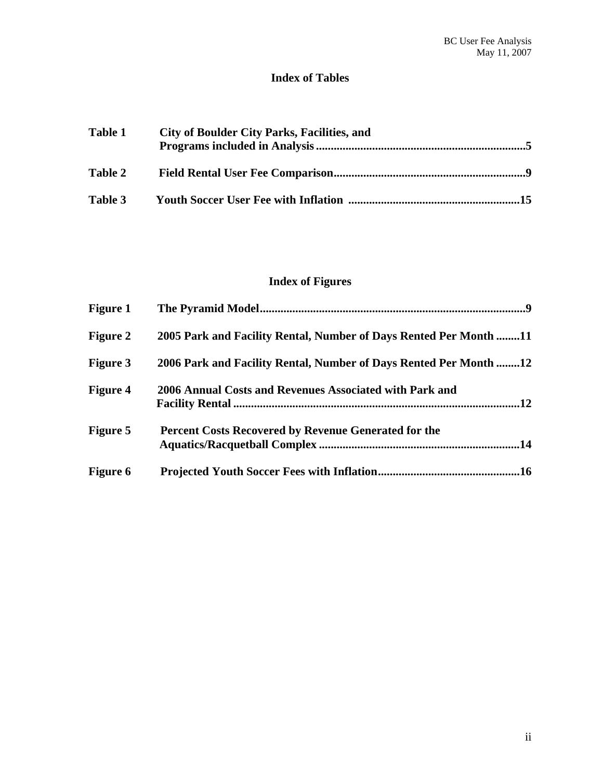#### **Index of Tables**

| <b>Table 1</b> | <b>City of Boulder City Parks, Facilities, and</b> |
|----------------|----------------------------------------------------|
| <b>Table 2</b> |                                                    |
| Table 3        |                                                    |

### **Index of Figures**

| <b>Figure 1</b> |                                                                   |
|-----------------|-------------------------------------------------------------------|
| <b>Figure 2</b> | 2005 Park and Facility Rental, Number of Days Rented Per Month 11 |
| <b>Figure 3</b> | 2006 Park and Facility Rental, Number of Days Rented Per Month 12 |
| <b>Figure 4</b> | 2006 Annual Costs and Revenues Associated with Park and           |
| <b>Figure 5</b> | Percent Costs Recovered by Revenue Generated for the              |
| Figure 6        |                                                                   |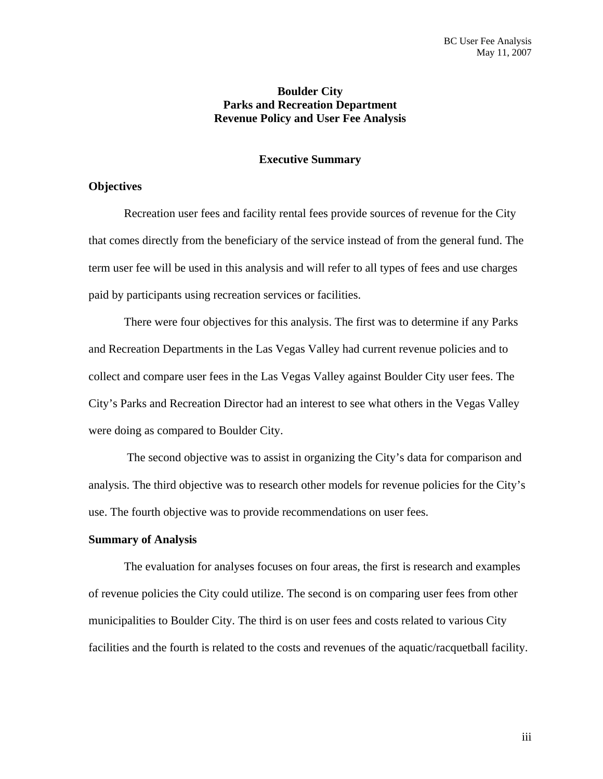#### **Boulder City Parks and Recreation Department Revenue Policy and User Fee Analysis**

#### **Executive Summary**

#### **Objectives**

Recreation user fees and facility rental fees provide sources of revenue for the City that comes directly from the beneficiary of the service instead of from the general fund. The term user fee will be used in this analysis and will refer to all types of fees and use charges paid by participants using recreation services or facilities.

 There were four objectives for this analysis. The first was to determine if any Parks and Recreation Departments in the Las Vegas Valley had current revenue policies and to collect and compare user fees in the Las Vegas Valley against Boulder City user fees. The City's Parks and Recreation Director had an interest to see what others in the Vegas Valley were doing as compared to Boulder City.

 The second objective was to assist in organizing the City's data for comparison and analysis. The third objective was to research other models for revenue policies for the City's use. The fourth objective was to provide recommendations on user fees.

#### **Summary of Analysis**

The evaluation for analyses focuses on four areas, the first is research and examples of revenue policies the City could utilize. The second is on comparing user fees from other municipalities to Boulder City. The third is on user fees and costs related to various City facilities and the fourth is related to the costs and revenues of the aquatic/racquetball facility.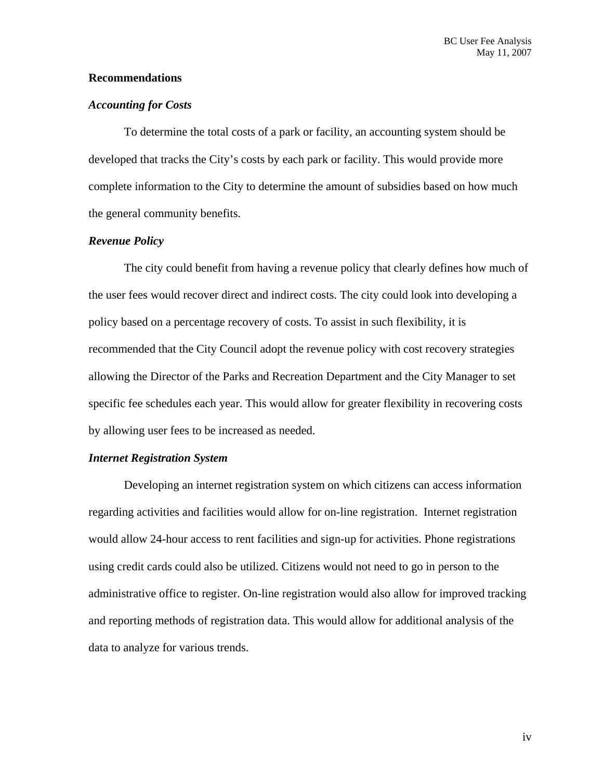#### **Recommendations**

#### *Accounting for Costs*

 To determine the total costs of a park or facility, an accounting system should be developed that tracks the City's costs by each park or facility. This would provide more complete information to the City to determine the amount of subsidies based on how much the general community benefits.

#### *Revenue Policy*

The city could benefit from having a revenue policy that clearly defines how much of the user fees would recover direct and indirect costs. The city could look into developing a policy based on a percentage recovery of costs. To assist in such flexibility, it is recommended that the City Council adopt the revenue policy with cost recovery strategies allowing the Director of the Parks and Recreation Department and the City Manager to set specific fee schedules each year. This would allow for greater flexibility in recovering costs by allowing user fees to be increased as needed.

#### *Internet Registration System*

 Developing an internet registration system on which citizens can access information regarding activities and facilities would allow for on-line registration. Internet registration would allow 24-hour access to rent facilities and sign-up for activities. Phone registrations using credit cards could also be utilized. Citizens would not need to go in person to the administrative office to register. On-line registration would also allow for improved tracking and reporting methods of registration data. This would allow for additional analysis of the data to analyze for various trends.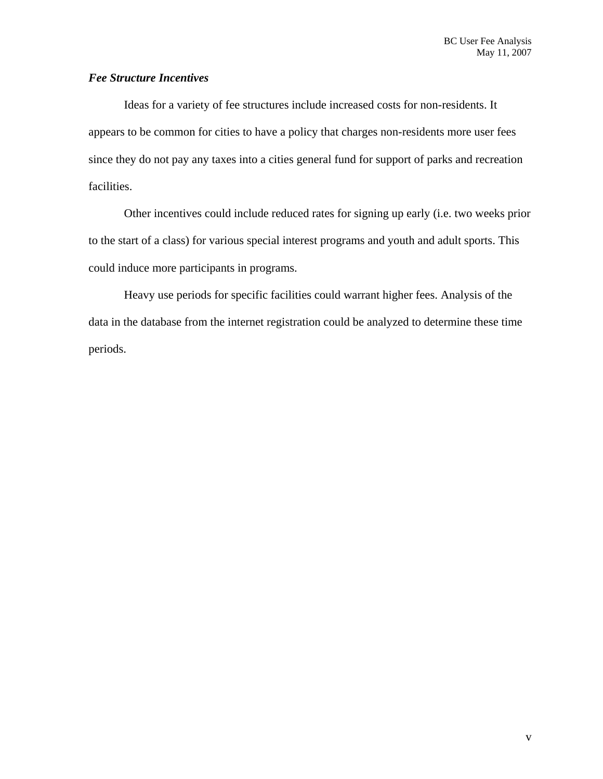#### *Fee Structure Incentives*

Ideas for a variety of fee structures include increased costs for non-residents. It appears to be common for cities to have a policy that charges non-residents more user fees since they do not pay any taxes into a cities general fund for support of parks and recreation facilities.

 Other incentives could include reduced rates for signing up early (i.e. two weeks prior to the start of a class) for various special interest programs and youth and adult sports. This could induce more participants in programs.

 Heavy use periods for specific facilities could warrant higher fees. Analysis of the data in the database from the internet registration could be analyzed to determine these time periods.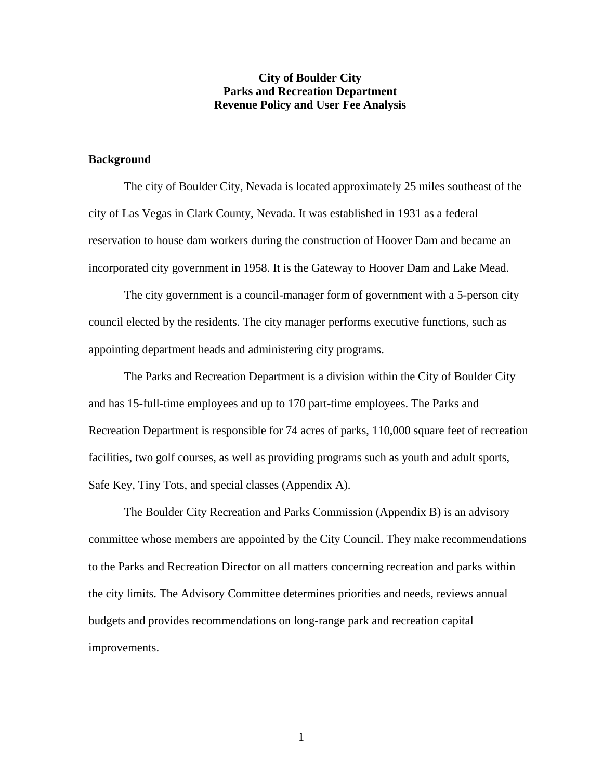#### **City of Boulder City Parks and Recreation Department Revenue Policy and User Fee Analysis**

#### **Background**

 The city of Boulder City, Nevada is located approximately 25 miles southeast of the city of Las Vegas in Clark County, Nevada. It was established in 1931 as a federal reservation to house dam workers during the construction of Hoover Dam and became an incorporated city government in 1958. It is the Gateway to Hoover Dam and Lake Mead.

 The city government is a council-manager form of government with a 5-person city council elected by the residents. The city manager performs executive functions, such as appointing department heads and administering city programs.

 The Parks and Recreation Department is a division within the City of Boulder City and has 15-full-time employees and up to 170 part-time employees. The Parks and Recreation Department is responsible for 74 acres of parks, 110,000 square feet of recreation facilities, two golf courses, as well as providing programs such as youth and adult sports, Safe Key, Tiny Tots, and special classes (Appendix A).

 The Boulder City Recreation and Parks Commission (Appendix B) is an advisory committee whose members are appointed by the City Council. They make recommendations to the Parks and Recreation Director on all matters concerning recreation and parks within the city limits. The Advisory Committee determines priorities and needs, reviews annual budgets and provides recommendations on long-range park and recreation capital improvements.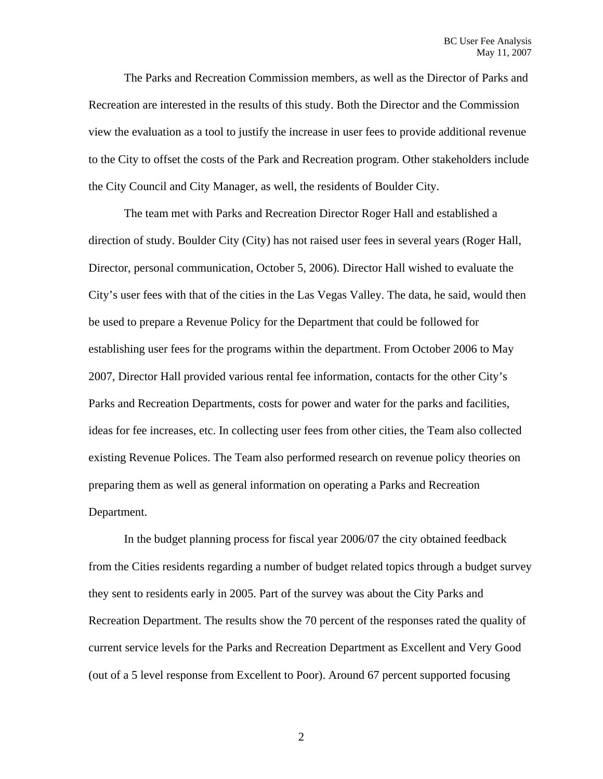The Parks and Recreation Commission members, as well as the Director of Parks and Recreation are interested in the results of this study. Both the Director and the Commission view the evaluation as a tool to justify the increase in user fees to provide additional revenue to the City to offset the costs of the Park and Recreation program. Other stakeholders include the City Council and City Manager, as well, the residents of Boulder City.

The team met with Parks and Recreation Director Roger Hall and established a direction of study. Boulder City (City) has not raised user fees in several years (Roger Hall, Director, personal communication, October 5, 2006). Director Hall wished to evaluate the City's user fees with that of the cities in the Las Vegas Valley. The data, he said, would then be used to prepare a Revenue Policy for the Department that could be followed for establishing user fees for the programs within the department. From October 2006 to May 2007, Director Hall provided various rental fee information, contacts for the other City's Parks and Recreation Departments, costs for power and water for the parks and facilities, ideas for fee increases, etc. In collecting user fees from other cities, the Team also collected existing Revenue Polices. The Team also performed research on revenue policy theories on preparing them as well as general information on operating a Parks and Recreation Department.

 In the budget planning process for fiscal year 2006/07 the city obtained feedback from the Cities residents regarding a number of budget related topics through a budget survey they sent to residents early in 2005. Part of the survey was about the City Parks and Recreation Department. The results show the 70 percent of the responses rated the quality of current service levels for the Parks and Recreation Department as Excellent and Very Good (out of a 5 level response from Excellent to Poor). Around 67 percent supported focusing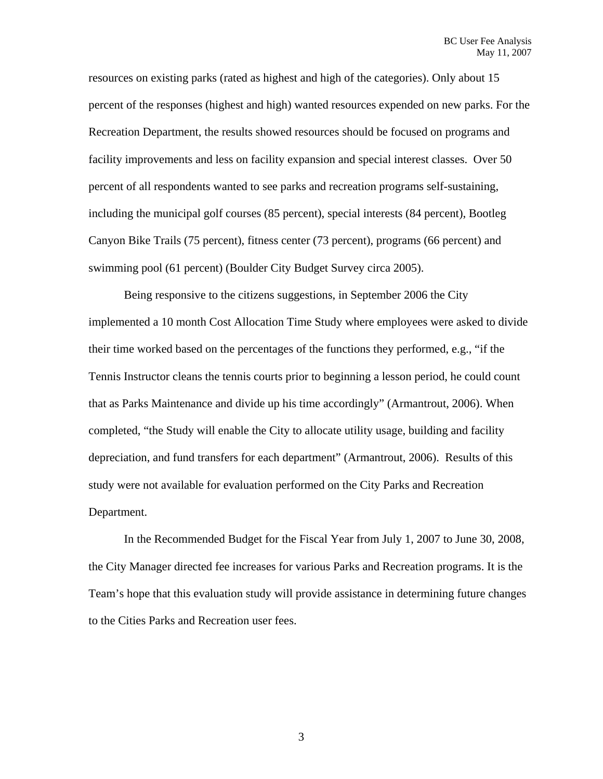resources on existing parks (rated as highest and high of the categories). Only about 15 percent of the responses (highest and high) wanted resources expended on new parks. For the Recreation Department, the results showed resources should be focused on programs and facility improvements and less on facility expansion and special interest classes. Over 50 percent of all respondents wanted to see parks and recreation programs self-sustaining, including the municipal golf courses (85 percent), special interests (84 percent), Bootleg Canyon Bike Trails (75 percent), fitness center (73 percent), programs (66 percent) and swimming pool (61 percent) (Boulder City Budget Survey circa 2005).

 Being responsive to the citizens suggestions, in September 2006 the City implemented a 10 month Cost Allocation Time Study where employees were asked to divide their time worked based on the percentages of the functions they performed, e.g., "if the Tennis Instructor cleans the tennis courts prior to beginning a lesson period, he could count that as Parks Maintenance and divide up his time accordingly" (Armantrout, 2006). When completed, "the Study will enable the City to allocate utility usage, building and facility depreciation, and fund transfers for each department" (Armantrout, 2006). Results of this study were not available for evaluation performed on the City Parks and Recreation Department.

In the Recommended Budget for the Fiscal Year from July 1, 2007 to June 30, 2008, the City Manager directed fee increases for various Parks and Recreation programs. It is the Team's hope that this evaluation study will provide assistance in determining future changes to the Cities Parks and Recreation user fees.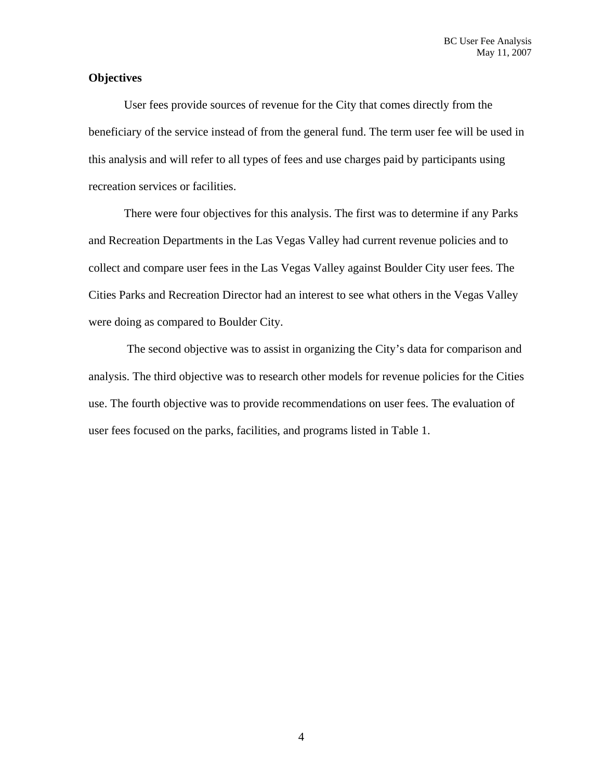#### **Objectives**

User fees provide sources of revenue for the City that comes directly from the beneficiary of the service instead of from the general fund. The term user fee will be used in this analysis and will refer to all types of fees and use charges paid by participants using recreation services or facilities.

 There were four objectives for this analysis. The first was to determine if any Parks and Recreation Departments in the Las Vegas Valley had current revenue policies and to collect and compare user fees in the Las Vegas Valley against Boulder City user fees. The Cities Parks and Recreation Director had an interest to see what others in the Vegas Valley were doing as compared to Boulder City.

 The second objective was to assist in organizing the City's data for comparison and analysis. The third objective was to research other models for revenue policies for the Cities use. The fourth objective was to provide recommendations on user fees. The evaluation of user fees focused on the parks, facilities, and programs listed in Table 1.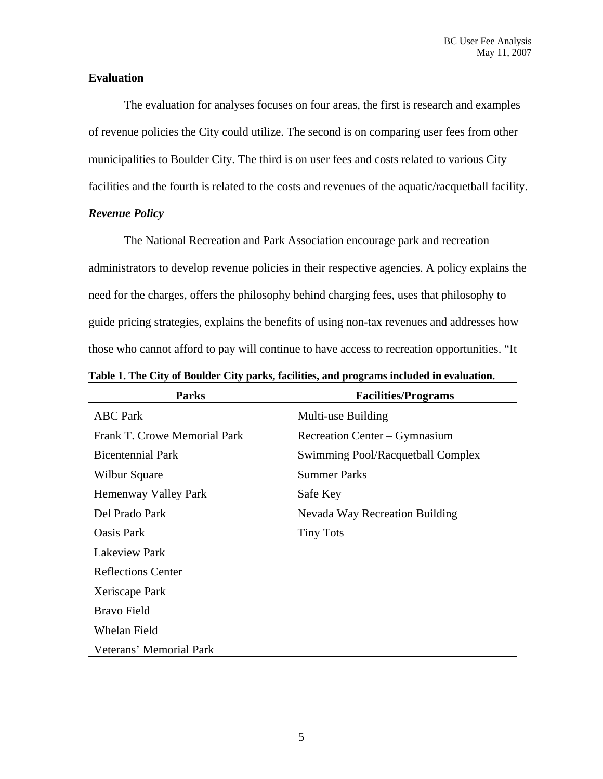#### **Evaluation**

The evaluation for analyses focuses on four areas, the first is research and examples of revenue policies the City could utilize. The second is on comparing user fees from other municipalities to Boulder City. The third is on user fees and costs related to various City facilities and the fourth is related to the costs and revenues of the aquatic/racquetball facility.

#### *Revenue Policy*

The National Recreation and Park Association encourage park and recreation administrators to develop revenue policies in their respective agencies. A policy explains the need for the charges, offers the philosophy behind charging fees, uses that philosophy to guide pricing strategies, explains the benefits of using non-tax revenues and addresses how those who cannot afford to pay will continue to have access to recreation opportunities. "It

| <b>Parks</b>                 | <b>Facilities/Programs</b>        |
|------------------------------|-----------------------------------|
| <b>ABC</b> Park              | Multi-use Building                |
| Frank T. Crowe Memorial Park | Recreation Center – Gymnasium     |
| <b>Bicentennial Park</b>     | Swimming Pool/Racquetball Complex |
| Wilbur Square                | <b>Summer Parks</b>               |
| Hemenway Valley Park         | Safe Key                          |
| Del Prado Park               | Nevada Way Recreation Building    |
| <b>Oasis Park</b>            | <b>Tiny Tots</b>                  |
| <b>Lakeview Park</b>         |                                   |
| <b>Reflections Center</b>    |                                   |
| Xeriscape Park               |                                   |
| <b>Bravo Field</b>           |                                   |
| Whelan Field                 |                                   |
| Veterans' Memorial Park      |                                   |

**Table 1. The City of Boulder City parks, facilities, and programs included in evaluation.**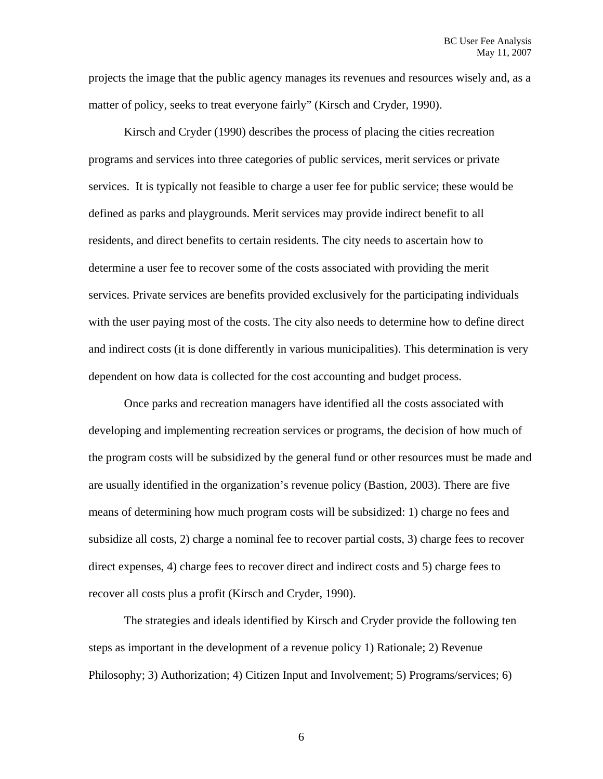projects the image that the public agency manages its revenues and resources wisely and, as a matter of policy, seeks to treat everyone fairly" (Kirsch and Cryder, 1990).

 Kirsch and Cryder (1990) describes the process of placing the cities recreation programs and services into three categories of public services, merit services or private services. It is typically not feasible to charge a user fee for public service; these would be defined as parks and playgrounds. Merit services may provide indirect benefit to all residents, and direct benefits to certain residents. The city needs to ascertain how to determine a user fee to recover some of the costs associated with providing the merit services. Private services are benefits provided exclusively for the participating individuals with the user paying most of the costs. The city also needs to determine how to define direct and indirect costs (it is done differently in various municipalities). This determination is very dependent on how data is collected for the cost accounting and budget process.

 Once parks and recreation managers have identified all the costs associated with developing and implementing recreation services or programs, the decision of how much of the program costs will be subsidized by the general fund or other resources must be made and are usually identified in the organization's revenue policy (Bastion, 2003). There are five means of determining how much program costs will be subsidized: 1) charge no fees and subsidize all costs, 2) charge a nominal fee to recover partial costs, 3) charge fees to recover direct expenses, 4) charge fees to recover direct and indirect costs and 5) charge fees to recover all costs plus a profit (Kirsch and Cryder, 1990).

 The strategies and ideals identified by Kirsch and Cryder provide the following ten steps as important in the development of a revenue policy 1) Rationale; 2) Revenue Philosophy; 3) Authorization; 4) Citizen Input and Involvement; 5) Programs/services; 6)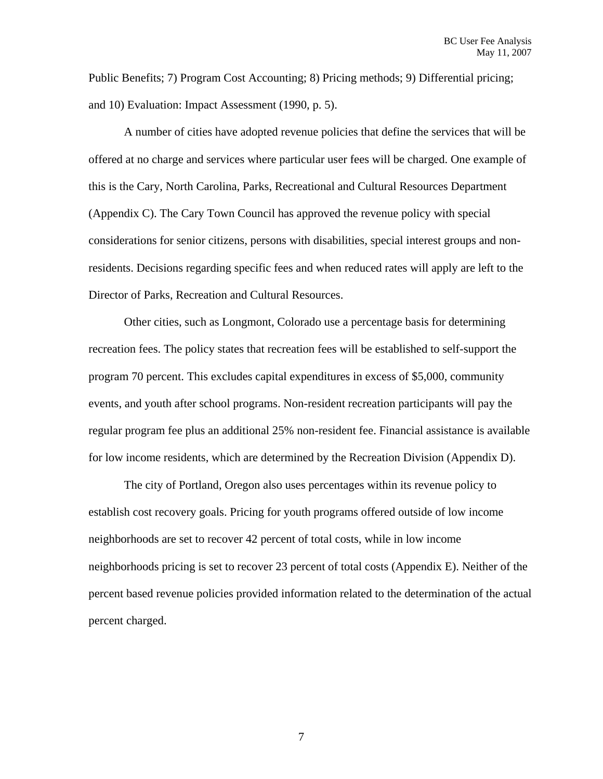Public Benefits; 7) Program Cost Accounting; 8) Pricing methods; 9) Differential pricing; and 10) Evaluation: Impact Assessment (1990, p. 5).

A number of cities have adopted revenue policies that define the services that will be offered at no charge and services where particular user fees will be charged. One example of this is the Cary, North Carolina, Parks, Recreational and Cultural Resources Department (Appendix C). The Cary Town Council has approved the revenue policy with special considerations for senior citizens, persons with disabilities, special interest groups and nonresidents. Decisions regarding specific fees and when reduced rates will apply are left to the Director of Parks, Recreation and Cultural Resources.

 Other cities, such as Longmont, Colorado use a percentage basis for determining recreation fees. The policy states that recreation fees will be established to self-support the program 70 percent. This excludes capital expenditures in excess of \$5,000, community events, and youth after school programs. Non-resident recreation participants will pay the regular program fee plus an additional 25% non-resident fee. Financial assistance is available for low income residents, which are determined by the Recreation Division (Appendix D).

 The city of Portland, Oregon also uses percentages within its revenue policy to establish cost recovery goals. Pricing for youth programs offered outside of low income neighborhoods are set to recover 42 percent of total costs, while in low income neighborhoods pricing is set to recover 23 percent of total costs (Appendix E). Neither of the percent based revenue policies provided information related to the determination of the actual percent charged.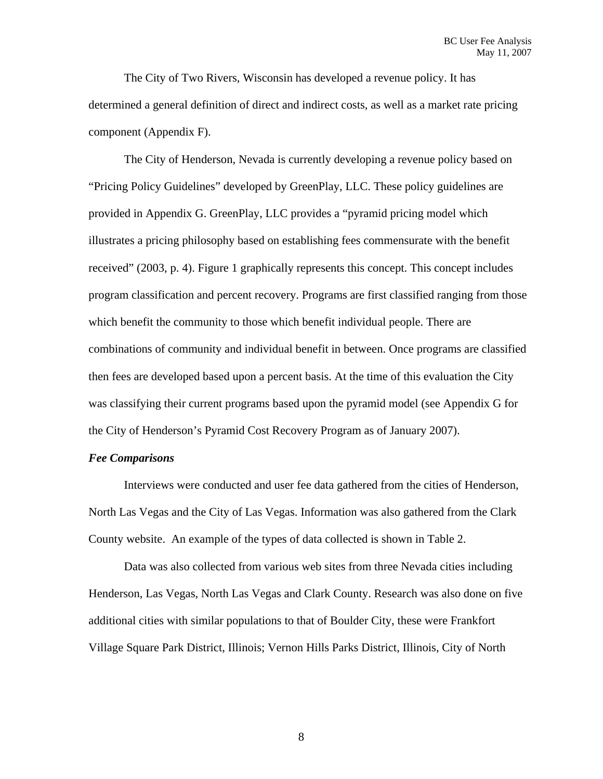The City of Two Rivers, Wisconsin has developed a revenue policy. It has determined a general definition of direct and indirect costs, as well as a market rate pricing component (Appendix F).

 The City of Henderson, Nevada is currently developing a revenue policy based on "Pricing Policy Guidelines" developed by GreenPlay, LLC. These policy guidelines are provided in Appendix G. GreenPlay, LLC provides a "pyramid pricing model which illustrates a pricing philosophy based on establishing fees commensurate with the benefit received" (2003, p. 4). Figure 1 graphically represents this concept. This concept includes program classification and percent recovery. Programs are first classified ranging from those which benefit the community to those which benefit individual people. There are combinations of community and individual benefit in between. Once programs are classified then fees are developed based upon a percent basis. At the time of this evaluation the City was classifying their current programs based upon the pyramid model (see Appendix G for the City of Henderson's Pyramid Cost Recovery Program as of January 2007).

#### *Fee Comparisons*

Interviews were conducted and user fee data gathered from the cities of Henderson, North Las Vegas and the City of Las Vegas. Information was also gathered from the Clark County website. An example of the types of data collected is shown in Table 2.

Data was also collected from various web sites from three Nevada cities including Henderson, Las Vegas, North Las Vegas and Clark County. Research was also done on five additional cities with similar populations to that of Boulder City, these were Frankfort Village Square Park District, Illinois; Vernon Hills Parks District, Illinois, City of North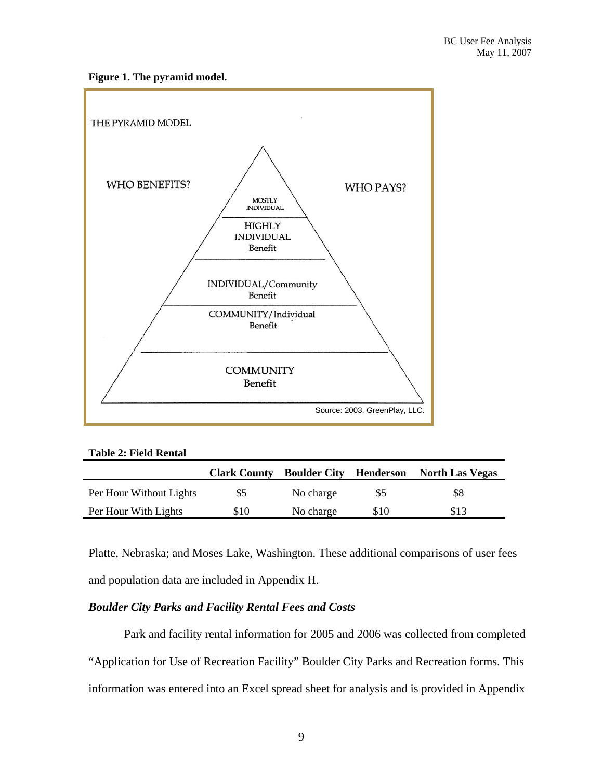#### **Figure 1. The pyramid model.**



#### **Table 2: Field Rental**

|                         | <b>Clark County</b> | <b>Boulder City</b> | Henderson | <b>North Las Vegas</b> |
|-------------------------|---------------------|---------------------|-----------|------------------------|
| Per Hour Without Lights | \$5                 | No charge           | \$5       | \$8                    |
| Per Hour With Lights    | \$10                | No charge           | \$10      | \$13                   |

Platte, Nebraska; and Moses Lake, Washington. These additional comparisons of user fees and population data are included in Appendix H.

#### *Boulder City Parks and Facility Rental Fees and Costs*

Park and facility rental information for 2005 and 2006 was collected from completed "Application for Use of Recreation Facility" Boulder City Parks and Recreation forms. This information was entered into an Excel spread sheet for analysis and is provided in Appendix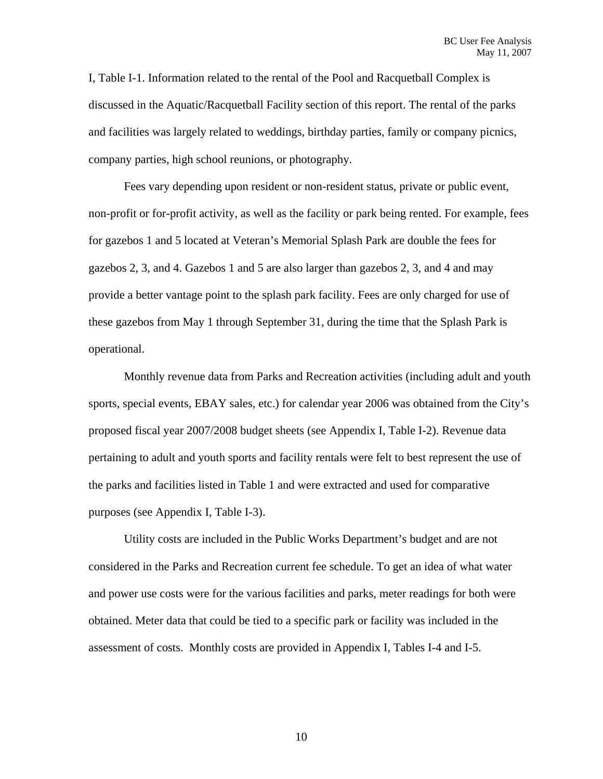I, Table I-1. Information related to the rental of the Pool and Racquetball Complex is discussed in the Aquatic/Racquetball Facility section of this report. The rental of the parks and facilities was largely related to weddings, birthday parties, family or company picnics, company parties, high school reunions, or photography.

Fees vary depending upon resident or non-resident status, private or public event, non-profit or for-profit activity, as well as the facility or park being rented. For example, fees for gazebos 1 and 5 located at Veteran's Memorial Splash Park are double the fees for gazebos 2, 3, and 4. Gazebos 1 and 5 are also larger than gazebos 2, 3, and 4 and may provide a better vantage point to the splash park facility. Fees are only charged for use of these gazebos from May 1 through September 31, during the time that the Splash Park is operational.

Monthly revenue data from Parks and Recreation activities (including adult and youth sports, special events, EBAY sales, etc.) for calendar year 2006 was obtained from the City's proposed fiscal year 2007/2008 budget sheets (see Appendix I, Table I-2). Revenue data pertaining to adult and youth sports and facility rentals were felt to best represent the use of the parks and facilities listed in Table 1 and were extracted and used for comparative purposes (see Appendix I, Table I-3).

Utility costs are included in the Public Works Department's budget and are not considered in the Parks and Recreation current fee schedule. To get an idea of what water and power use costs were for the various facilities and parks, meter readings for both were obtained. Meter data that could be tied to a specific park or facility was included in the assessment of costs. Monthly costs are provided in Appendix I, Tables I-4 and I-5.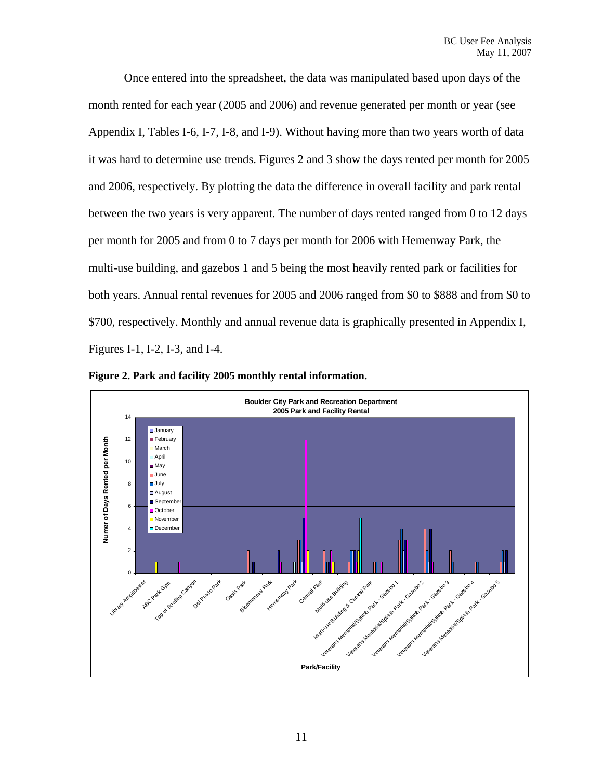Once entered into the spreadsheet, the data was manipulated based upon days of the month rented for each year (2005 and 2006) and revenue generated per month or year (see Appendix I, Tables I-6, I-7, I-8, and I-9). Without having more than two years worth of data it was hard to determine use trends. Figures 2 and 3 show the days rented per month for 2005 and 2006, respectively. By plotting the data the difference in overall facility and park rental between the two years is very apparent. The number of days rented ranged from 0 to 12 days per month for 2005 and from 0 to 7 days per month for 2006 with Hemenway Park, the multi-use building, and gazebos 1 and 5 being the most heavily rented park or facilities for both years. Annual rental revenues for 2005 and 2006 ranged from \$0 to \$888 and from \$0 to \$700, respectively. Monthly and annual revenue data is graphically presented in Appendix I, Figures I-1, I-2, I-3, and I-4.



**Figure 2. Park and facility 2005 monthly rental information.**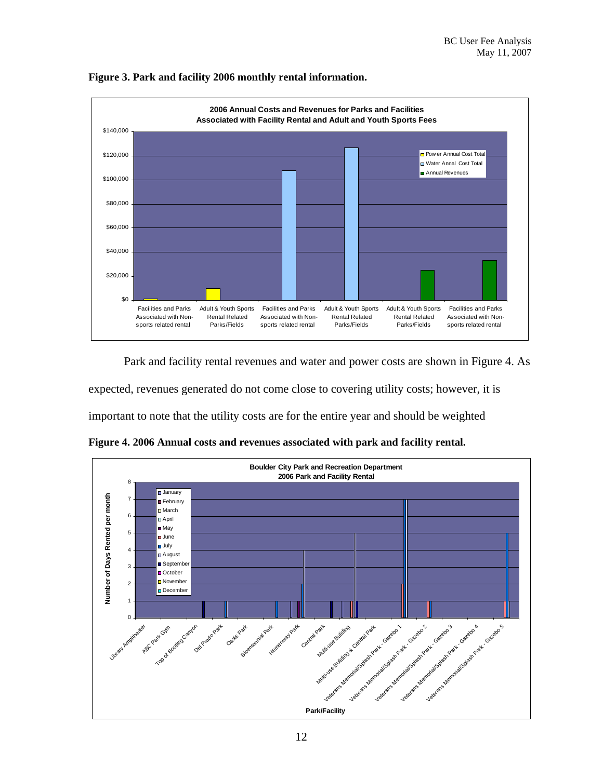

**Figure 3. Park and facility 2006 monthly rental information.** 

Park and facility rental revenues and water and power costs are shown in Figure 4. As expected, revenues generated do not come close to covering utility costs; however, it is important to note that the utility costs are for the entire year and should be weighted

**Figure 4. 2006 Annual costs and revenues associated with park and facility rental.** 

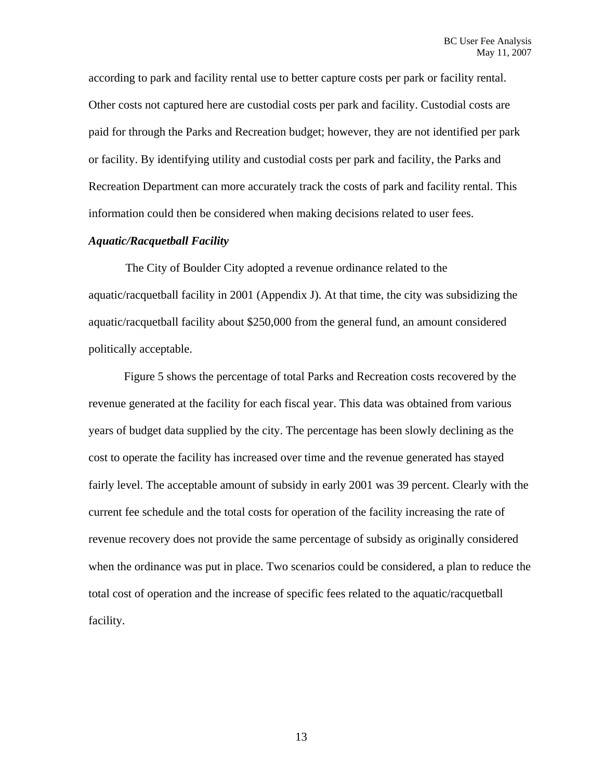according to park and facility rental use to better capture costs per park or facility rental. Other costs not captured here are custodial costs per park and facility. Custodial costs are paid for through the Parks and Recreation budget; however, they are not identified per park or facility. By identifying utility and custodial costs per park and facility, the Parks and Recreation Department can more accurately track the costs of park and facility rental. This information could then be considered when making decisions related to user fees.

#### *Aquatic/Racquetball Facility*

The City of Boulder City adopted a revenue ordinance related to the aquatic/racquetball facility in 2001 (Appendix J). At that time, the city was subsidizing the aquatic/racquetball facility about \$250,000 from the general fund, an amount considered politically acceptable.

Figure 5 shows the percentage of total Parks and Recreation costs recovered by the revenue generated at the facility for each fiscal year. This data was obtained from various years of budget data supplied by the city. The percentage has been slowly declining as the cost to operate the facility has increased over time and the revenue generated has stayed fairly level. The acceptable amount of subsidy in early 2001 was 39 percent. Clearly with the current fee schedule and the total costs for operation of the facility increasing the rate of revenue recovery does not provide the same percentage of subsidy as originally considered when the ordinance was put in place. Two scenarios could be considered, a plan to reduce the total cost of operation and the increase of specific fees related to the aquatic/racquetball facility.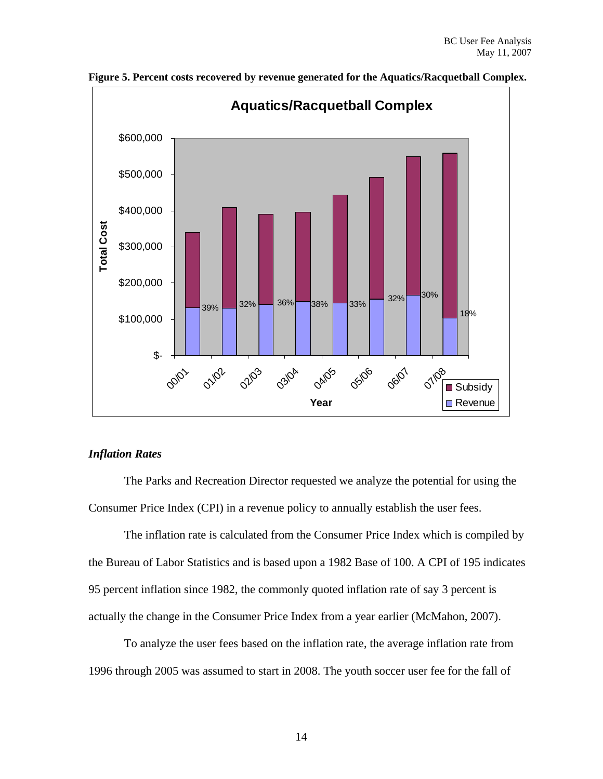

**Figure 5. Percent costs recovered by revenue generated for the Aquatics/Racquetball Complex.** 

#### *Inflation Rates*

The Parks and Recreation Director requested we analyze the potential for using the Consumer Price Index (CPI) in a revenue policy to annually establish the user fees.

The inflation rate is calculated from the Consumer Price Index which is compiled by the Bureau of Labor Statistics and is based upon a 1982 Base of 100. A CPI of 195 indicates 95 percent inflation since 1982, the commonly quoted inflation rate of say 3 percent is actually the change in the Consumer Price Index from a year earlier (McMahon, 2007).

To analyze the user fees based on the inflation rate, the average inflation rate from 1996 through 2005 was assumed to start in 2008. The youth soccer user fee for the fall of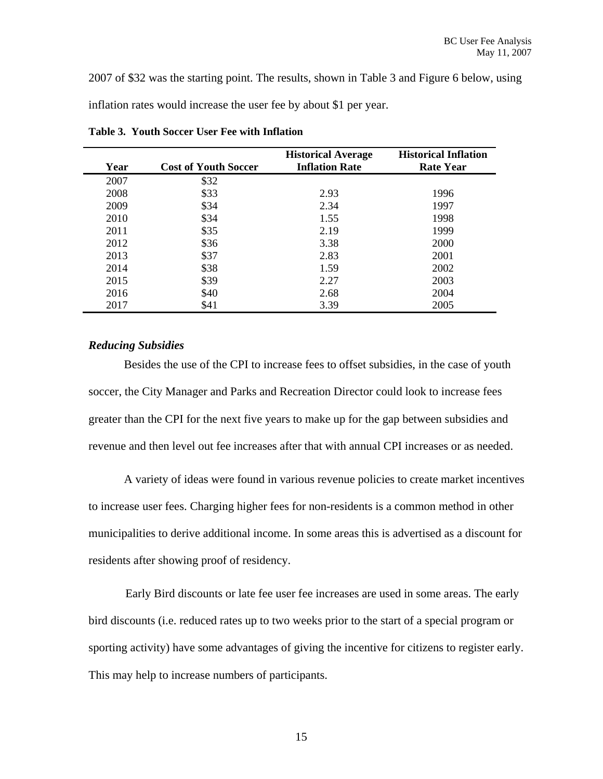2007 of \$32 was the starting point. The results, shown in Table 3 and Figure 6 below, using inflation rates would increase the user fee by about \$1 per year.

|      |                             | <b>Historical Average</b> | <b>Historical Inflation</b> |
|------|-----------------------------|---------------------------|-----------------------------|
| Year | <b>Cost of Youth Soccer</b> | <b>Inflation Rate</b>     | <b>Rate Year</b>            |
| 2007 | \$32                        |                           |                             |
| 2008 | \$33                        | 2.93                      | 1996                        |
| 2009 | \$34                        | 2.34                      | 1997                        |
| 2010 | \$34                        | 1.55                      | 1998                        |
| 2011 | \$35                        | 2.19                      | 1999                        |
| 2012 | \$36                        | 3.38                      | 2000                        |
| 2013 | \$37                        | 2.83                      | 2001                        |
| 2014 | \$38                        | 1.59                      | 2002                        |
| 2015 | \$39                        | 2.27                      | 2003                        |
| 2016 | \$40                        | 2.68                      | 2004                        |
| 2017 | \$41                        | 3.39                      | 2005                        |

**Table 3. Youth Soccer User Fee with Inflation** 

#### *Reducing Subsidies*

Besides the use of the CPI to increase fees to offset subsidies, in the case of youth soccer, the City Manager and Parks and Recreation Director could look to increase fees greater than the CPI for the next five years to make up for the gap between subsidies and revenue and then level out fee increases after that with annual CPI increases or as needed.

A variety of ideas were found in various revenue policies to create market incentives to increase user fees. Charging higher fees for non-residents is a common method in other municipalities to derive additional income. In some areas this is advertised as a discount for residents after showing proof of residency.

Early Bird discounts or late fee user fee increases are used in some areas. The early bird discounts (i.e. reduced rates up to two weeks prior to the start of a special program or sporting activity) have some advantages of giving the incentive for citizens to register early. This may help to increase numbers of participants.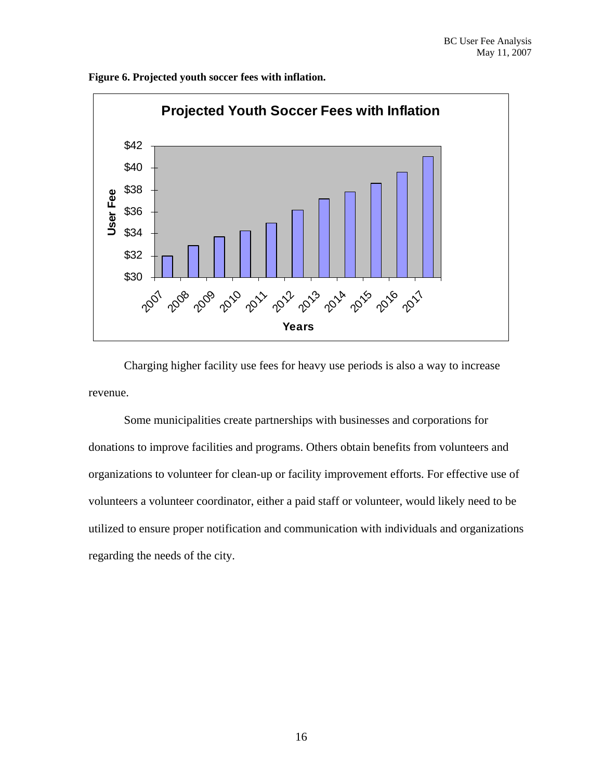

**Figure 6. Projected youth soccer fees with inflation.** 

Charging higher facility use fees for heavy use periods is also a way to increase revenue.

Some municipalities create partnerships with businesses and corporations for donations to improve facilities and programs. Others obtain benefits from volunteers and organizations to volunteer for clean-up or facility improvement efforts. For effective use of volunteers a volunteer coordinator, either a paid staff or volunteer, would likely need to be utilized to ensure proper notification and communication with individuals and organizations regarding the needs of the city.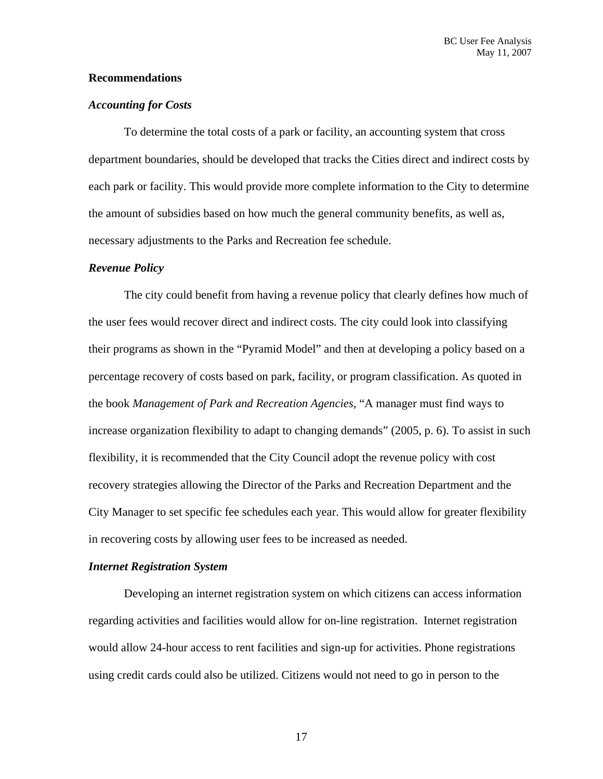#### **Recommendations**

#### *Accounting for Costs*

 To determine the total costs of a park or facility, an accounting system that cross department boundaries, should be developed that tracks the Cities direct and indirect costs by each park or facility. This would provide more complete information to the City to determine the amount of subsidies based on how much the general community benefits, as well as, necessary adjustments to the Parks and Recreation fee schedule.

#### *Revenue Policy*

The city could benefit from having a revenue policy that clearly defines how much of the user fees would recover direct and indirect costs. The city could look into classifying their programs as shown in the "Pyramid Model" and then at developing a policy based on a percentage recovery of costs based on park, facility, or program classification. As quoted in the book *Management of Park and Recreation Agencies*, "A manager must find ways to increase organization flexibility to adapt to changing demands" (2005, p. 6). To assist in such flexibility, it is recommended that the City Council adopt the revenue policy with cost recovery strategies allowing the Director of the Parks and Recreation Department and the City Manager to set specific fee schedules each year. This would allow for greater flexibility in recovering costs by allowing user fees to be increased as needed.

#### *Internet Registration System*

 Developing an internet registration system on which citizens can access information regarding activities and facilities would allow for on-line registration. Internet registration would allow 24-hour access to rent facilities and sign-up for activities. Phone registrations using credit cards could also be utilized. Citizens would not need to go in person to the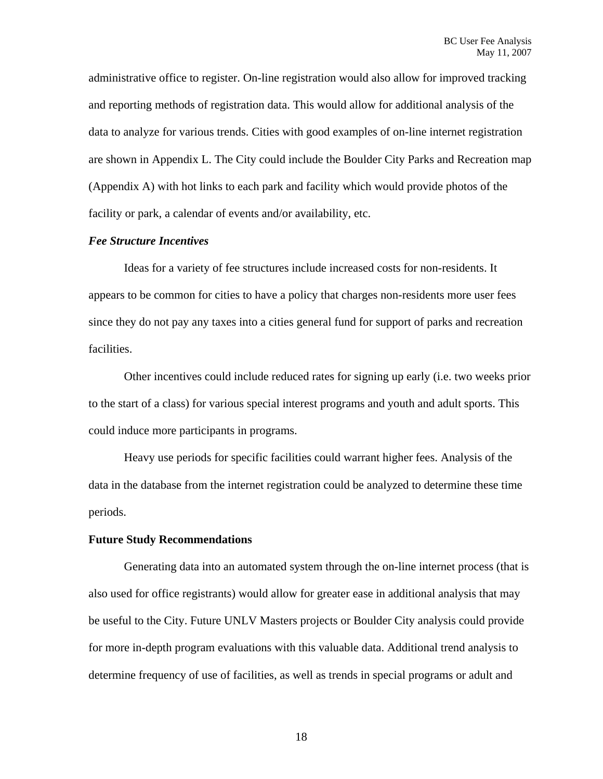administrative office to register. On-line registration would also allow for improved tracking and reporting methods of registration data. This would allow for additional analysis of the data to analyze for various trends. Cities with good examples of on-line internet registration are shown in Appendix L. The City could include the Boulder City Parks and Recreation map (Appendix A) with hot links to each park and facility which would provide photos of the facility or park, a calendar of events and/or availability, etc.

#### *Fee Structure Incentives*

Ideas for a variety of fee structures include increased costs for non-residents. It appears to be common for cities to have a policy that charges non-residents more user fees since they do not pay any taxes into a cities general fund for support of parks and recreation facilities.

 Other incentives could include reduced rates for signing up early (i.e. two weeks prior to the start of a class) for various special interest programs and youth and adult sports. This could induce more participants in programs.

 Heavy use periods for specific facilities could warrant higher fees. Analysis of the data in the database from the internet registration could be analyzed to determine these time periods.

#### **Future Study Recommendations**

Generating data into an automated system through the on-line internet process (that is also used for office registrants) would allow for greater ease in additional analysis that may be useful to the City. Future UNLV Masters projects or Boulder City analysis could provide for more in-depth program evaluations with this valuable data. Additional trend analysis to determine frequency of use of facilities, as well as trends in special programs or adult and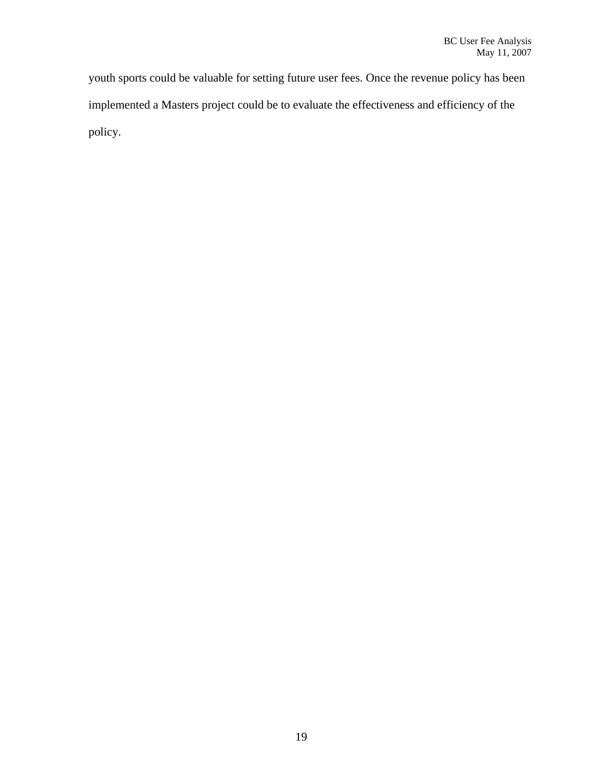youth sports could be valuable for setting future user fees. Once the revenue policy has been implemented a Masters project could be to evaluate the effectiveness and efficiency of the policy.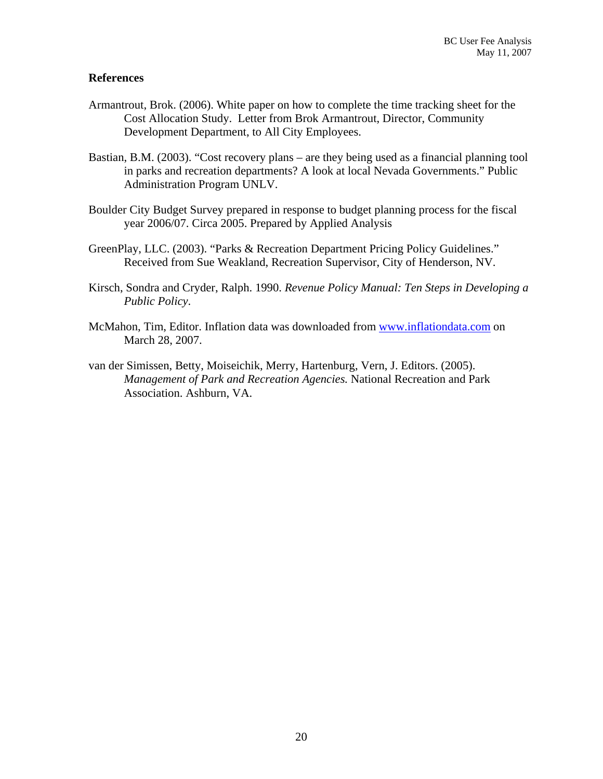#### **References**

- Armantrout, Brok. (2006). White paper on how to complete the time tracking sheet for the Cost Allocation Study. Letter from Brok Armantrout, Director, Community Development Department, to All City Employees.
- Bastian, B.M. (2003). "Cost recovery plans are they being used as a financial planning tool in parks and recreation departments? A look at local Nevada Governments." Public Administration Program UNLV.
- Boulder City Budget Survey prepared in response to budget planning process for the fiscal year 2006/07. Circa 2005. Prepared by Applied Analysis
- GreenPlay, LLC. (2003). "Parks & Recreation Department Pricing Policy Guidelines." Received from Sue Weakland, Recreation Supervisor, City of Henderson, NV.
- Kirsch, Sondra and Cryder, Ralph. 1990. *Revenue Policy Manual: Ten Steps in Developing a Public Policy*.
- McMahon, Tim, Editor. Inflation data was downloaded from www.inflationdata.com on March 28, 2007.
- van der Simissen, Betty, Moiseichik, Merry, Hartenburg, Vern, J. Editors. (2005). *Management of Park and Recreation Agencies.* National Recreation and Park Association. Ashburn, VA.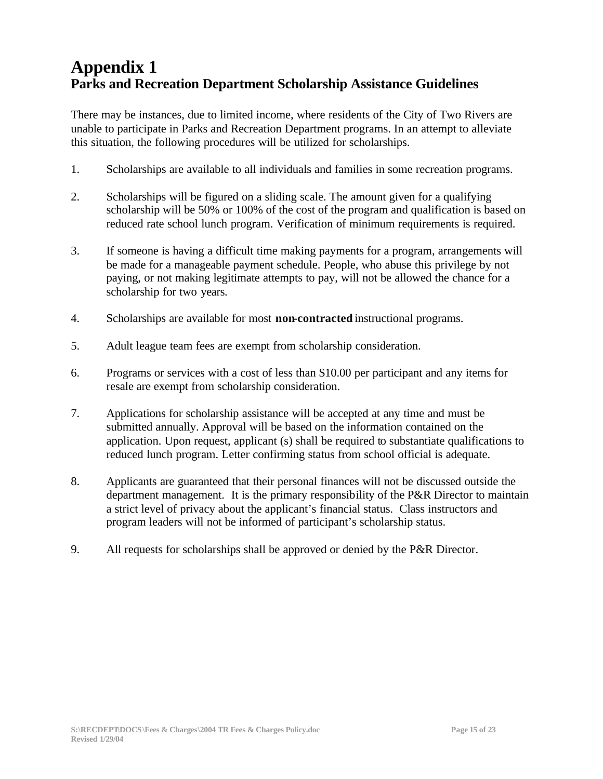### **Appendix 1 Parks and Recreation Department Scholarship Assistance Guidelines**

There may be instances, due to limited income, where residents of the City of Two Rivers are unable to participate in Parks and Recreation Department programs. In an attempt to alleviate this situation, the following procedures will be utilized for scholarships.

- 1. Scholarships are available to all individuals and families in some recreation programs.
- 2. Scholarships will be figured on a sliding scale. The amount given for a qualifying scholarship will be 50% or 100% of the cost of the program and qualification is based on reduced rate school lunch program. Verification of minimum requirements is required.
- 3. If someone is having a difficult time making payments for a program, arrangements will be made for a manageable payment schedule. People, who abuse this privilege by not paying, or not making legitimate attempts to pay, will not be allowed the chance for a scholarship for two years.
- 4. Scholarships are available for most **non-contracted** instructional programs.
- 5. Adult league team fees are exempt from scholarship consideration.
- 6. Programs or services with a cost of less than \$10.00 per participant and any items for resale are exempt from scholarship consideration.
- 7. Applications for scholarship assistance will be accepted at any time and must be submitted annually. Approval will be based on the information contained on the application. Upon request, applicant (s) shall be required to substantiate qualifications to reduced lunch program. Letter confirming status from school official is adequate.
- 8. Applicants are guaranteed that their personal finances will not be discussed outside the department management. It is the primary responsibility of the P&R Director to maintain a strict level of privacy about the applicant's financial status. Class instructors and program leaders will not be informed of participant's scholarship status.
- 9. All requests for scholarships shall be approved or denied by the P&R Director.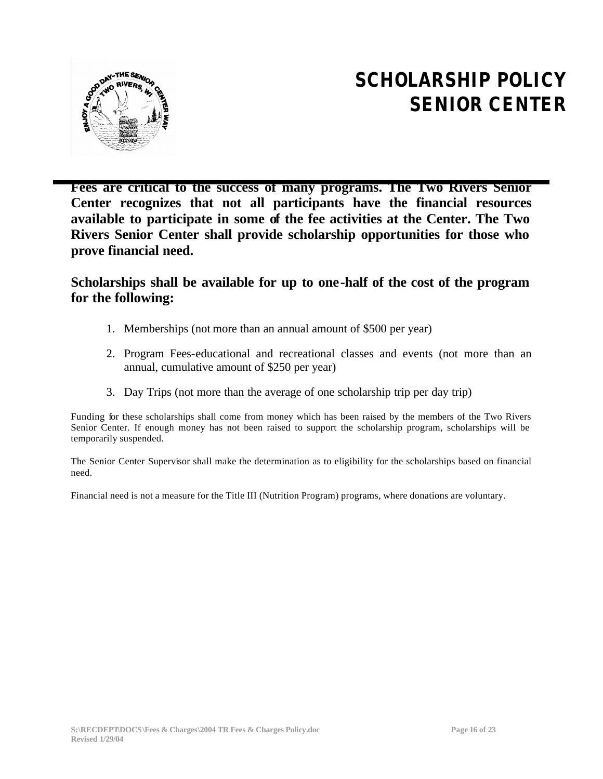

# **SCHOLARSHIP POLICY SENIOR CENTER**

**Fees are critical to the success of many programs. The Two Rivers Senior Center recognizes that not all participants have the financial resources available to participate in some of the fee activities at the Center. The Two Rivers Senior Center shall provide scholarship opportunities for those who prove financial need.**

**Scholarships shall be available for up to one-half of the cost of the program for the following:**

- 1. Memberships (not more than an annual amount of \$500 per year)
- 2. Program Fees-educational and recreational classes and events (not more than an annual, cumulative amount of \$250 per year)
- 3. Day Trips (not more than the average of one scholarship trip per day trip)

Funding for these scholarships shall come from money which has been raised by the members of the Two Rivers Senior Center. If enough money has not been raised to support the scholarship program, scholarships will be temporarily suspended.

The Senior Center Supervisor shall make the determination as to eligibility for the scholarships based on financial need.

Financial need is not a measure for the Title III (Nutrition Program) programs, where donations are voluntary.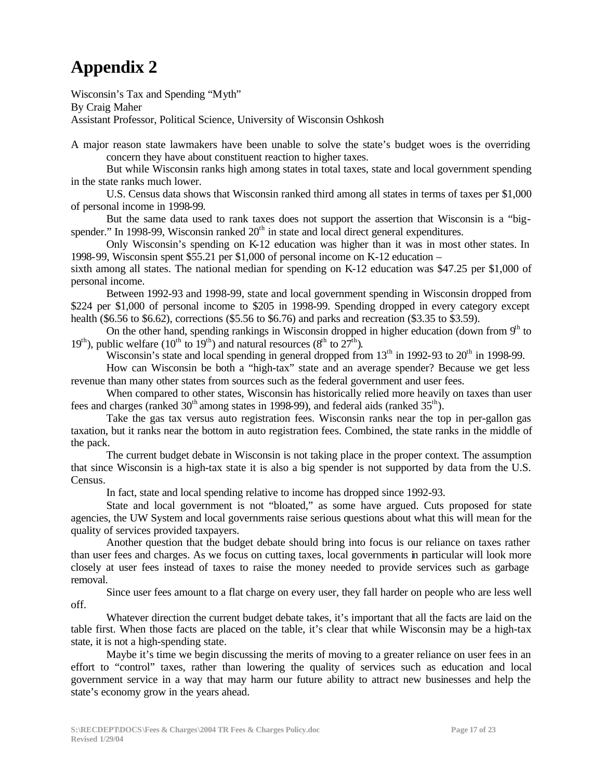# **Appendix 2**

Wisconsin's Tax and Spending "Myth" By Craig Maher Assistant Professor, Political Science, University of Wisconsin Oshkosh

A major reason state lawmakers have been unable to solve the state's budget woes is the overriding concern they have about constituent reaction to higher taxes.

But while Wisconsin ranks high among states in total taxes, state and local government spending in the state ranks much lower.

U.S. Census data shows that Wisconsin ranked third among all states in terms of taxes per \$1,000 of personal income in 1998-99.

But the same data used to rank taxes does not support the assertion that Wisconsin is a "bigspender." In 1998-99, Wisconsin ranked  $20<sup>th</sup>$  in state and local direct general expenditures.

Only Wisconsin's spending on K-12 education was higher than it was in most other states. In 1998-99, Wisconsin spent \$55.21 per \$1,000 of personal income on K-12 education –

sixth among all states. The national median for spending on K-12 education was \$47.25 per \$1,000 of personal income.

Between 1992-93 and 1998-99, state and local government spending in Wisconsin dropped from \$224 per \$1,000 of personal income to \$205 in 1998-99. Spending dropped in every category except health (\$6.56 to \$6.62), corrections (\$5.56 to \$6.76) and parks and recreation (\$3.35 to \$3.59).

On the other hand, spending rankings in Wisconsin dropped in higher education (down from  $9<sup>th</sup>$  to 19<sup>th</sup>), public welfare (10<sup>th</sup> to 19<sup>th</sup>) and natural resources (8<sup>th</sup> to  $27<sup>th</sup>$ ).

Wisconsin's state and local spending in general dropped from 13<sup>th</sup> in 1992-93 to 20<sup>th</sup> in 1998-99.

How can Wisconsin be both a "high-tax" state and an average spender? Because we get less revenue than many other states from sources such as the federal government and user fees.

When compared to other states, Wisconsin has historically relied more heavily on taxes than user fees and charges (ranked  $30<sup>th</sup>$  among states in 1998-99), and federal aids (ranked  $35<sup>th</sup>$ ).

Take the gas tax versus auto registration fees. Wisconsin ranks near the top in per-gallon gas taxation, but it ranks near the bottom in auto registration fees. Combined, the state ranks in the middle of the pack.

The current budget debate in Wisconsin is not taking place in the proper context. The assumption that since Wisconsin is a high-tax state it is also a big spender is not supported by data from the U.S. Census.

In fact, state and local spending relative to income has dropped since 1992-93.

State and local government is not "bloated," as some have argued. Cuts proposed for state agencies, the UW System and local governments raise serious questions about what this will mean for the quality of services provided taxpayers.

Another question that the budget debate should bring into focus is our reliance on taxes rather than user fees and charges. As we focus on cutting taxes, local governments in particular will look more closely at user fees instead of taxes to raise the money needed to provide services such as garbage removal.

Since user fees amount to a flat charge on every user, they fall harder on people who are less well off.

Whatever direction the current budget debate takes, it's important that all the facts are laid on the table first. When those facts are placed on the table, it's clear that while Wisconsin may be a high-tax state, it is not a high-spending state.

Maybe it's time we begin discussing the merits of moving to a greater reliance on user fees in an effort to "control" taxes, rather than lowering the quality of services such as education and local government service in a way that may harm our future ability to attract new businesses and help the state's economy grow in the years ahead.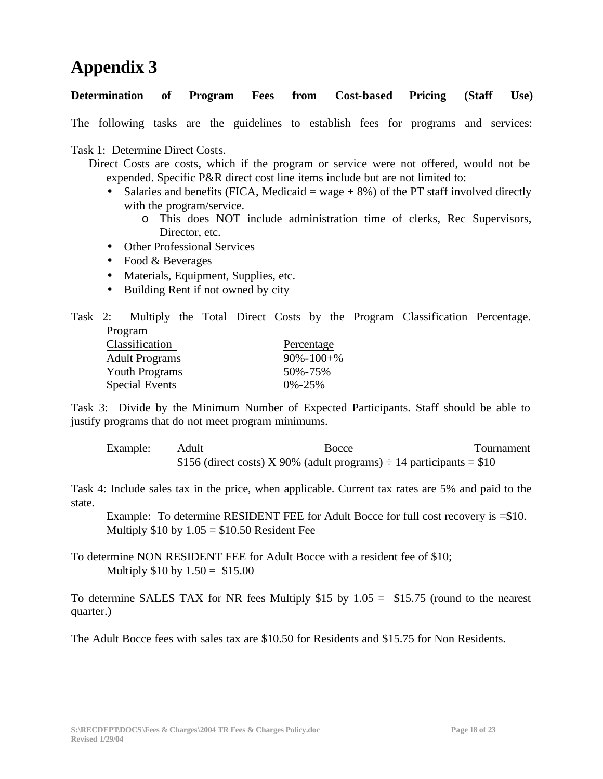### **Appendix 3**

#### **Determination of Program Fees from Cost-based Pricing (Staff Use)**

The following tasks are the guidelines to establish fees for programs and services:

Task 1: Determine Direct Costs.

Direct Costs are costs, which if the program or service were not offered, would not be expended. Specific P&R direct cost line items include but are not limited to:

- Salaries and benefits (FICA, Medicaid  $=$  wage  $+8\%$ ) of the PT staff involved directly with the program/service.
	- o This does NOT include administration time of clerks, Rec Supervisors, Director, etc.
- Other Professional Services
- Food & Beverages
- Materials, Equipment, Supplies, etc.
- Building Rent if not owned by city

|  |         |  |  |  | Task 2: Multiply the Total Direct Costs by the Program Classification Percentage. |  |
|--|---------|--|--|--|-----------------------------------------------------------------------------------|--|
|  | Program |  |  |  |                                                                                   |  |

| Percentage        |
|-------------------|
| $90\% - 100 + \%$ |
| 50%-75%           |
| $0\% - 25\%$      |
|                   |

Task 3: Divide by the Minimum Number of Expected Participants. Staff should be able to justify programs that do not meet program minimums.

Example: Adult Bocce Tournament \$156 (direct costs) X 90% (adult programs)  $\div$  14 participants = \$10

Task 4: Include sales tax in the price, when applicable. Current tax rates are 5% and paid to the state.

Example: To determine RESIDENT FEE for Adult Bocce for full cost recovery is =\$10. Multiply  $$10$  by  $1.05 = $10.50$  Resident Fee

To determine NON RESIDENT FEE for Adult Bocce with a resident fee of \$10; Multiply  $$10 \text{ by } 1.50 = $15.00$ 

To determine SALES TAX for NR fees Multiply \$15 by  $1.05 = $15.75$  (round to the nearest quarter.)

The Adult Bocce fees with sales tax are \$10.50 for Residents and \$15.75 for Non Residents.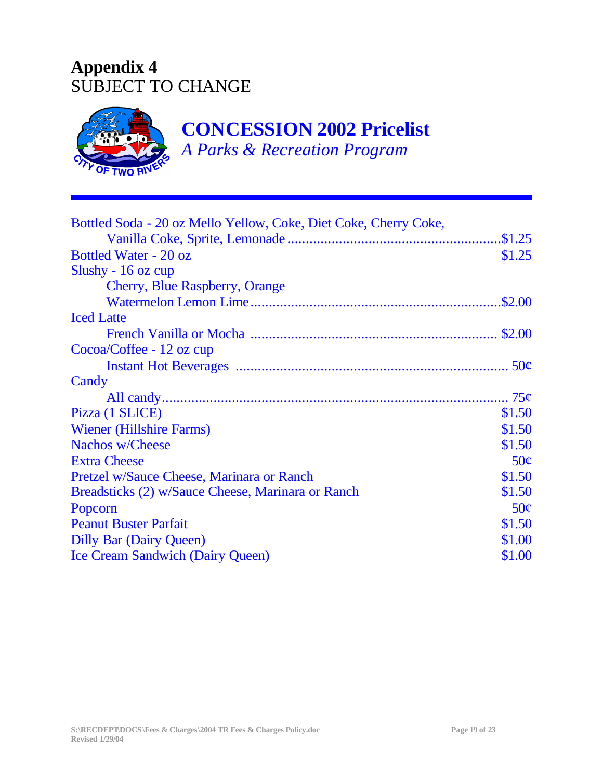### **Appendix 4** SUBJECT TO CHANGE



# **CONCESSION 2002 Pricelist**

*A Parks & Recreation Program*

| Bottled Soda - 20 oz Mello Yellow, Coke, Diet Coke, Cherry Coke, |        |
|------------------------------------------------------------------|--------|
|                                                                  |        |
| Bottled Water - 20 oz                                            | \$1.25 |
| Slushy - $16$ oz cup                                             |        |
| <b>Cherry, Blue Raspberry, Orange</b>                            |        |
|                                                                  |        |
| <b>Iced Latte</b>                                                |        |
|                                                                  |        |
| Cocoa/Coffee - 12 oz cup                                         |        |
|                                                                  |        |
| Candy                                                            |        |
|                                                                  |        |
| Pizza (1 SLICE)                                                  | \$1.50 |
| <b>Wiener (Hillshire Farms)</b>                                  | \$1.50 |
| <b>Nachos w/Cheese</b>                                           | \$1.50 |
| <b>Extra Cheese</b>                                              | 50¢    |
| Pretzel w/Sauce Cheese, Marinara or Ranch                        | \$1.50 |
| Breadsticks (2) w/Sauce Cheese, Marinara or Ranch                | \$1.50 |
| Popcorn                                                          | 50¢    |
| <b>Peanut Buster Parfait</b>                                     | \$1.50 |
| <b>Dilly Bar (Dairy Queen)</b>                                   | \$1.00 |
| <b>Ice Cream Sandwich (Dairy Queen)</b>                          | \$1.00 |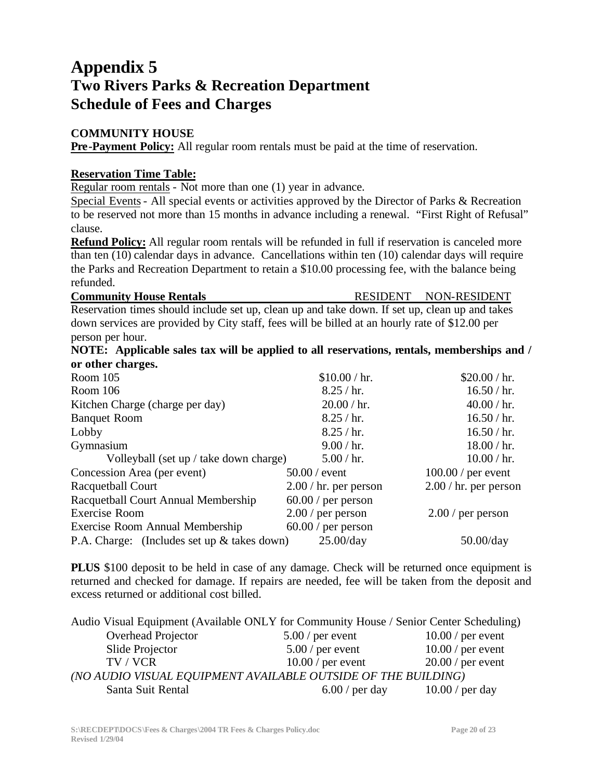### **Appendix 5 Two Rivers Parks & Recreation Department Schedule of Fees and Charges**

#### **COMMUNITY HOUSE**

**Pre-Payment Policy:** All regular room rentals must be paid at the time of reservation.

#### **Reservation Time Table:**

Regular room rentals - Not more than one (1) year in advance.

Special Events- All special events or activities approved by the Director of Parks & Recreation to be reserved not more than 15 months in advance including a renewal. "First Right of Refusal" clause.

**Refund Policy:** All regular room rentals will be refunded in full if reservation is canceled more than ten (10) calendar days in advance. Cancellations within ten (10) calendar days will require the Parks and Recreation Department to retain a \$10.00 processing fee, with the balance being refunded.

| <b>Community House Rentals</b>                                                                 | RESIDENT NON-RESIDENT |
|------------------------------------------------------------------------------------------------|-----------------------|
| Reservation times should include set up, clean up and take down. If set up, clean up and takes |                       |
| down services are provided by City staff, fees will be billed at an hourly rate of \$12.00 per |                       |
| person per hour.                                                                               |                       |

#### **NOTE: Applicable sales tax will be applied to all reservations, rentals, memberships and / or other charges.**

| UI UUILI LIIAI 200.                         |                          |                          |
|---------------------------------------------|--------------------------|--------------------------|
| Room 105                                    | \$10.00 / hr.            | \$20.00 / hr.            |
| Room $106$                                  | 8.25 / hr.               | 16.50 / hr.              |
| Kitchen Charge (charge per day)             | 20.00 / hr.              | 40.00 / hr.              |
| <b>Banquet Room</b>                         | 8.25 / hr.               | 16.50 / hr.              |
| Lobby                                       | 8.25 / hr.               | 16.50 / hr.              |
| Gymnasium                                   | 9.00 / hr.               | 18.00 / hr.              |
| Volleyball (set up / take down charge)      | 5.00 / hr.               | 10.00 / hr.              |
| Concession Area (per event)                 | $50.00 /$ event          | $100.00/$ per event      |
| Racquetball Court                           | $2.00 / hr$ . per person | $2.00 / hr$ . per person |
| Racquetball Court Annual Membership         | $60.00/$ per person      |                          |
| <b>Exercise Room</b>                        | $2.00/$ per person       | $2.00/$ per person       |
| Exercise Room Annual Membership             | $60.00 / per$ person     |                          |
| P.A. Charge: (Includes set up & takes down) | $25.00$ /day             | $50.00$ /day             |
|                                             |                          |                          |

**PLUS** \$100 deposit to be held in case of any damage. Check will be returned once equipment is returned and checked for damage. If repairs are needed, fee will be taken from the deposit and excess returned or additional cost billed.

| Audio Visual Equipment (Available ONLY for Community House / Senior Center Scheduling) |                    |                    |
|----------------------------------------------------------------------------------------|--------------------|--------------------|
| Overhead Projector                                                                     | $5.00/$ per event  | $10.00/$ per event |
| Slide Projector                                                                        | $5.00/$ per event  | $10.00/$ per event |
| TV / VCR                                                                               | $10.00/$ per event | $20.00/$ per event |
| (NO AUDIO VISUAL EQUIPMENT AVAILABLE OUTSIDE OF THE BUILDING)                          |                    |                    |
| Santa Suit Rental                                                                      | $6.00/$ per day    | $10.00/$ per day   |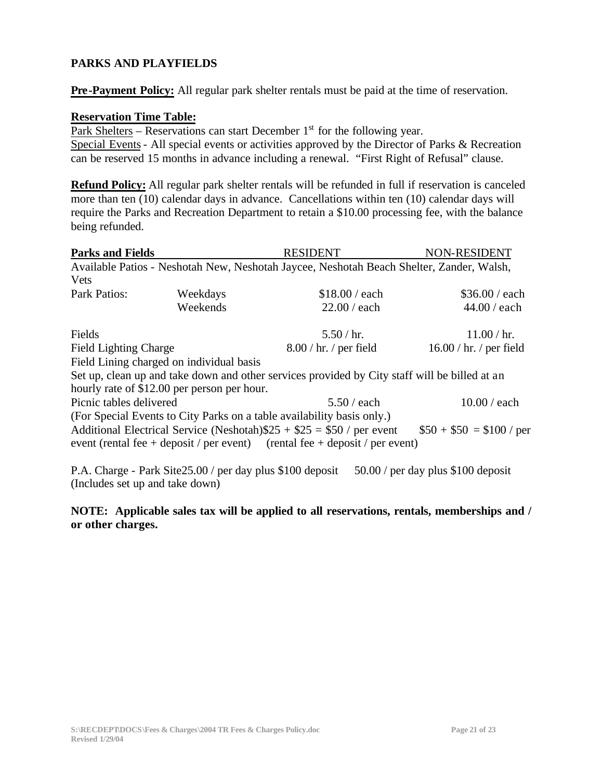#### **PARKS AND PLAYFIELDS**

**Pre-Payment Policy:** All regular park shelter rentals must be paid at the time of reservation.

#### **Reservation Time Table:**

Park Shelters – Reservations can start December  $1<sup>st</sup>$  for the following year. Special Events- All special events or activities approved by the Director of Parks & Recreation can be reserved 15 months in advance including a renewal. "First Right of Refusal" clause.

**Refund Policy:** All regular park shelter rentals will be refunded in full if reservation is canceled more than ten (10) calendar days in advance. Cancellations within ten (10) calendar days will require the Parks and Recreation Department to retain a \$10.00 processing fee, with the balance being refunded.

| <b>Parks and Fields</b>                                                                            |                                             | <b>RESIDENT</b>                                                                               | <b>NON-RESIDENT</b>     |
|----------------------------------------------------------------------------------------------------|---------------------------------------------|-----------------------------------------------------------------------------------------------|-------------------------|
| Vets                                                                                               |                                             | Available Patios - Neshotah New, Neshotah Jaycee, Neshotah Beach Shelter, Zander, Walsh,      |                         |
| Park Patios:                                                                                       | Weekdays                                    | \$18.00 / each                                                                                | \$36.00 / each          |
|                                                                                                    | Weekends                                    | 22.00 / each                                                                                  | 44.00 / each            |
| Fields                                                                                             |                                             | 5.50 / hr.                                                                                    | 11.00 / hr.             |
| <b>Field Lighting Charge</b>                                                                       |                                             | 8.00 / hr. / per field                                                                        | 16.00 / hr. / per field |
|                                                                                                    | Field Lining charged on individual basis    |                                                                                               |                         |
|                                                                                                    |                                             | Set up, clean up and take down and other services provided by City staff will be billed at an |                         |
|                                                                                                    | hourly rate of \$12.00 per person per hour. |                                                                                               |                         |
| Picnic tables delivered                                                                            |                                             | 5.50 / each                                                                                   | 10.00 / each            |
|                                                                                                    |                                             | (For Special Events to City Parks on a table availability basis only.)                        |                         |
| Additional Electrical Service (Neshotah) $$25 + $25 = $50 /$ per event<br>$$50 + $50 = $100 / per$ |                                             |                                                                                               |                         |
|                                                                                                    |                                             | event (rental fee + deposit / per event) (rental fee + deposit / per event)                   |                         |

P.A. Charge - Park Site25.00 / per day plus \$100 deposit 50.00 / per day plus \$100 deposit (Includes set up and take down)

**NOTE: Applicable sales tax will be applied to all reservations, rentals, memberships and / or other charges.**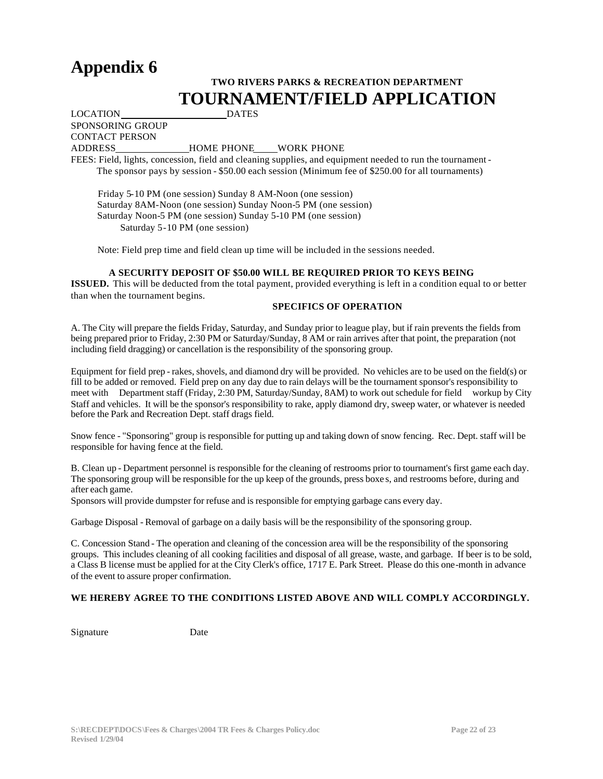### **Appendix 6**

### **TWO RIVERS PARKS & RECREATION DEPARTMENT TOURNAMENT/FIELD APPLICATION**

LOCATION SPONSORING GROUP CONTACT PERSON

ADDRESS HOME PHONE WORK PHONE

FEES: Field, lights, concession, field and cleaning supplies, and equipment needed to run the tournament - The sponsor pays by session - \$50.00 each session (Minimum fee of \$250.00 for all tournaments)

 Friday 5-10 PM (one session) Sunday 8 AM-Noon (one session) Saturday 8AM-Noon (one session) Sunday Noon-5 PM (one session) Saturday Noon-5 PM (one session) Sunday 5-10 PM (one session) Saturday 5-10 PM (one session)

Note: Field prep time and field clean up time will be included in the sessions needed.

#### **A SECURITY DEPOSIT OF \$50.00 WILL BE REQUIRED PRIOR TO KEYS BEING**

**ISSUED.** This will be deducted from the total payment, provided everything is left in a condition equal to or better than when the tournament begins.

#### **SPECIFICS OF OPERATION**

A. The City will prepare the fields Friday, Saturday, and Sunday prior to league play, but if rain prevents the fields from being prepared prior to Friday, 2:30 PM or Saturday/Sunday, 8 AM or rain arrives after that point, the preparation (not including field dragging) or cancellation is the responsibility of the sponsoring group.

Equipment for field prep - rakes, shovels, and diamond dry will be provided. No vehicles are to be used on the field(s) or fill to be added or removed. Field prep on any day due to rain delays will be the tournament sponsor's responsibility to meet with Department staff (Friday, 2:30 PM, Saturday/Sunday, 8AM) to work out schedule for field workup by City Staff and vehicles. It will be the sponsor's responsibility to rake, apply diamond dry, sweep water, or whatever is needed before the Park and Recreation Dept. staff drags field.

Snow fence - "Sponsoring" group is responsible for putting up and taking down of snow fencing. Rec. Dept. staff will be responsible for having fence at the field.

B. Clean up - Department personnel is responsible for the cleaning of restrooms prior to tournament's first game each day. The sponsoring group will be responsible for the up keep of the grounds, press boxe s, and restrooms before, during and after each game.

Sponsors will provide dumpster for refuse and is responsible for emptying garbage cans every day.

Garbage Disposal - Removal of garbage on a daily basis will be the responsibility of the sponsoring group.

C. Concession Stand - The operation and cleaning of the concession area will be the responsibility of the sponsoring groups. This includes cleaning of all cooking facilities and disposal of all grease, waste, and garbage. If beer is to be sold, a Class B license must be applied for at the City Clerk's office, 1717 E. Park Street. Please do this one-month in advance of the event to assure proper confirmation.

#### **WE HEREBY AGREE TO THE CONDITIONS LISTED ABOVE AND WILL COMPLY ACCORDINGLY.**

Signature Date